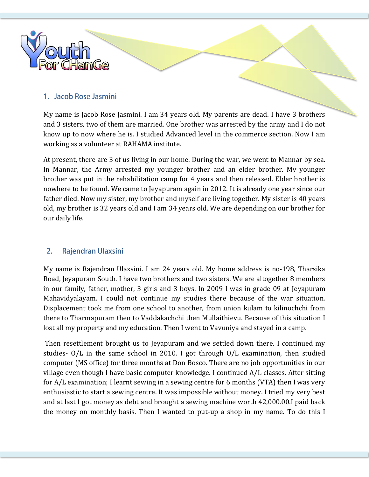

## 1. Jacob Rose Jasmini

My name is Jacob Rose Jasmini. I am 34 years old. My parents are dead. I have 3 brothers and 3 sisters, two of them are married. One brother was arrested by the army and I do not know up to now where he is. I studied Advanced level in the commerce section. Now I am working as a volunteer at RAHAMA institute.

At present, there are 3 of us living in our home. During the war, we went to Mannar by sea. In Mannar, the Army arrested my younger brother and an elder brother. My younger brother was put in the rehabilitation camp for 4 years and then released. Elder brother is nowhere to be found. We came to Jeyapuram again in 2012. It is already one year since our father died. Now my sister, my brother and myself are living together. My sister is 40 years old, my brother is 32 years old and I am 34 years old. We are depending on our brother for our daily life.

#### $2.$ Rajendran Ulaxsini

My name is Rajendran Ulaxsini. I am 24 years old. My home address is no-198, Tharsika Road, Jeyapuram South. I have two brothers and two sisters. We are altogether 8 members in our family, father, mother, 3 girls and 3 boys. In 2009 I was in grade 09 at Jeyapuram Mahavidyalayam. I could not continue my studies there because of the war situation. Displacement took me from one school to another, from union kulam to kilinochchi from there to Tharmapuram then to Vaddakachchi then Mullaithievu. Because of this situation I lost all my property and my education. Then I went to Vavuniya and stayed in a camp.

Then resettlement brought us to Jeyapuram and we settled down there. I continued my studies- O/L in the same school in 2010. I got through O/L examination, then studied computer (MS office) for three months at Don Bosco. There are no job opportunities in our village even though I have basic computer knowledge. I continued A/L classes. After sitting for A/L examination; I learnt sewing in a sewing centre for 6 months (VTA) then I was very enthusiastic to start a sewing centre. It was impossible without money. I tried my very best and at last I got money as debt and brought a sewing machine worth 42,000.00.I paid back the money on monthly basis. Then I wanted to put-up a shop in my name. To do this I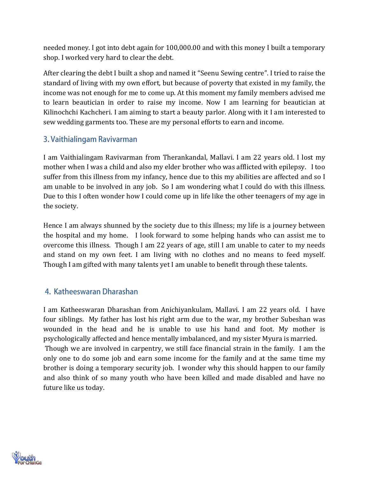needed money. I got into debt again for 100,000.00 and with this money I built a temporary shop. I worked very hard to clear the debt.

After clearing the debt I built a shop and named it "Seenu Sewing centre". I tried to raise the standard of living with my own effort, but because of poverty that existed in my family, the income was not enough for me to come up. At this moment my family members advised me to learn beautician in order to raise my income. Now I am learning for beautician at Kilinochchi Kachcheri. I am aiming to start a beauty parlor. Along with it I am interested to sew wedding garments too. These are my personal efforts to earn and income.

## 3. Vaithialingam Ravivarman

I am Vaithialingam Ravivarman from Therankandal, Mallavi. I am 22 years old. I lost my mother when I was a child and also my elder brother who was afflicted with epilepsy. I too suffer from this illness from my infancy, hence due to this my abilities are affected and so I am unable to be involved in any job. So I am wondering what I could do with this illness. Due to this I often wonder how I could come up in life like the other teenagers of my age in the society.

Hence I am always shunned by the society due to this illness; my life is a journey between the hospital and my home. I look forward to some helping hands who can assist me to overcome this illness. Though I am 22 years of age, still I am unable to cater to my needs and stand on my own feet. I am living with no clothes and no means to feed myself. Though I am gifted with many talents yet I am unable to benefit through these talents.

## 4. Katheeswaran Dharashan

I am Katheeswaran Dharashan from Anichiyankulam, Mallavi. I am 22 years old. I have four siblings. My father has lost his right arm due to the war, my brother Subeshan was wounded in the head and he is unable to use his hand and foot. My mother is psychologically affected and hence mentally imbalanced, and my sister Myura is married. Though we are involved in carpentry, we still face financial strain in the family. I am the only one to do some job and earn some income for the family and at the same time my brother is doing a temporary security job. I wonder why this should happen to our family and also think of so many youth who have been killed and made disabled and have no future like us today.

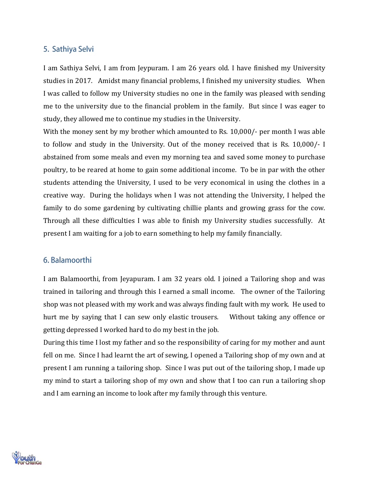## 5. Sathiya Selvi

I am Sathiya Selvi, I am from Jeypuram. I am 26 years old. I have finished my University studies in 2017. Amidst many financial problems, I finished my university studies. When I was called to follow my University studies no one in the family was pleased with sending me to the university due to the financial problem in the family. But since I was eager to study, they allowed me to continue my studies in the University.

With the money sent by my brother which amounted to Rs. 10,000/- per month I was able to follow and study in the University. Out of the money received that is Rs. 10,000/- I abstained from some meals and even my morning tea and saved some money to purchase poultry, to be reared at home to gain some additional income. To be in par with the other students attending the University, I used to be very economical in using the clothes in a creative way. During the holidays when I was not attending the University, I helped the family to do some gardening by cultivating chillie plants and growing grass for the cow. Through all these difficulties I was able to finish my University studies successfully. At present I am waiting for a job to earn something to help my family financially.

#### 6. Balamoorthi

I am Balamoorthi, from Jeyapuram. I am 32 years old. I joined a Tailoring shop and was trained in tailoring and through this I earned a small income. The owner of the Tailoring shop was not pleased with my work and was always finding fault with my work. He used to hurt me by saying that I can sew only elastic trousers. Without taking any offence or getting depressed I worked hard to do my best in the job.

During this time I lost my father and so the responsibility of caring for my mother and aunt fell on me. Since I had learnt the art of sewing, I opened a Tailoring shop of my own and at present I am running a tailoring shop. Since I was put out of the tailoring shop, I made up my mind to start a tailoring shop of my own and show that I too can run a tailoring shop and I am earning an income to look after my family through this venture.